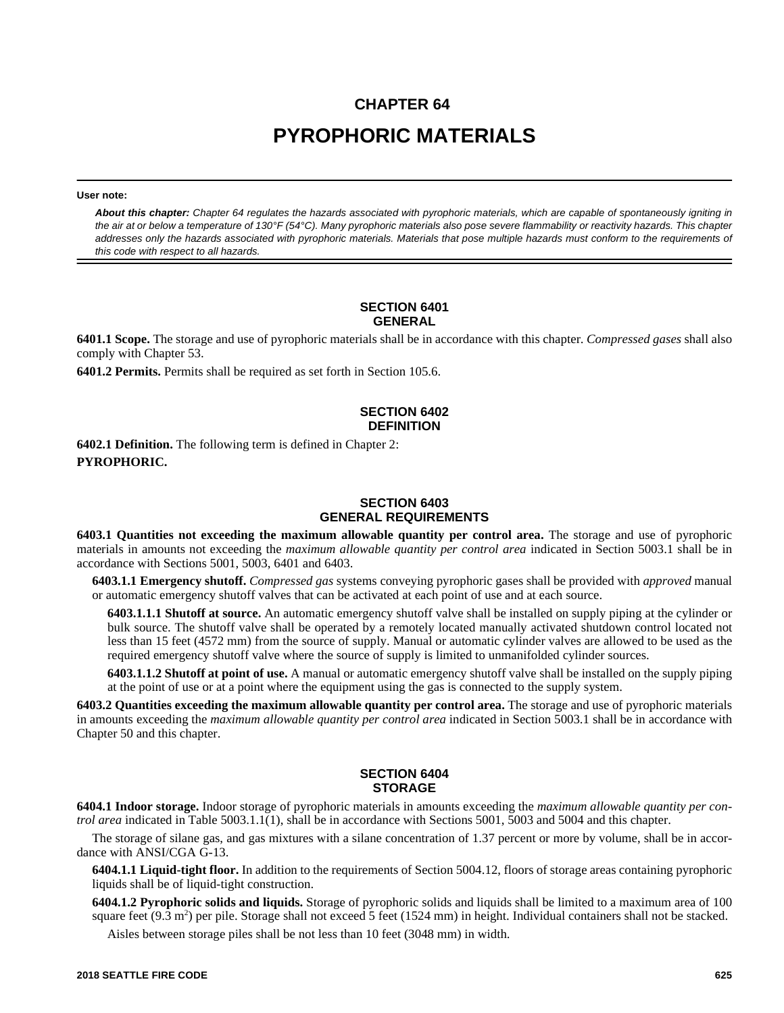# **CHAPTER 64 PYROPHORIC MATERIALS**

**User note:**

*About this chapter: Chapter 64 regulates the hazards associated with pyrophoric materials, which are capable of spontaneously igniting in the air at or below a temperature of 130°F (54°C). Many pyrophoric materials also pose severe flammability or reactivity hazards. This chapter addresses only the hazards associated with pyrophoric materials. Materials that pose multiple hazards must conform to the requirements of this code with respect to all hazards.*

#### **SECTION 6401 GENERAL**

**6401.1 Scope.** The storage and use of pyrophoric materials shall be in accordance with this chapter. *Compressed gases* shall also comply with Chapter 53.

**6401.2 Permits.** Permits shall be required as set forth in Section 105.6.

## **SECTION 6402 DEFINITION**

**6402.1 Definition.** The following term is defined in Chapter 2: **PYROPHORIC.**

### **SECTION 6403 GENERAL REQUIREMENTS**

**6403.1 Quantities not exceeding the maximum allowable quantity per control area.** The storage and use of pyrophoric materials in amounts not exceeding the *maximum allowable quantity per control area* indicated in Section 5003.1 shall be in accordance with Sections 5001, 5003, 6401 and 6403.

**6403.1.1 Emergency shutoff.** *Compressed gas* systems conveying pyrophoric gases shall be provided with *approved* manual or automatic emergency shutoff valves that can be activated at each point of use and at each source.

**6403.1.1.1 Shutoff at source.** An automatic emergency shutoff valve shall be installed on supply piping at the cylinder or bulk source. The shutoff valve shall be operated by a remotely located manually activated shutdown control located not less than 15 feet (4572 mm) from the source of supply. Manual or automatic cylinder valves are allowed to be used as the required emergency shutoff valve where the source of supply is limited to unmanifolded cylinder sources.

**6403.1.1.2 Shutoff at point of use.** A manual or automatic emergency shutoff valve shall be installed on the supply piping at the point of use or at a point where the equipment using the gas is connected to the supply system.

**6403.2 Quantities exceeding the maximum allowable quantity per control area.** The storage and use of pyrophoric materials in amounts exceeding the *maximum allowable quantity per control area* indicated in Section 5003.1 shall be in accordance with Chapter 50 and this chapter.

### **SECTION 6404 STORAGE**

**6404.1 Indoor storage.** Indoor storage of pyrophoric materials in amounts exceeding the *maximum allowable quantity per control area* indicated in Table 5003.1.1(1), shall be in accordance with Sections 5001, 5003 and 5004 and this chapter.

The storage of silane gas, and gas mixtures with a silane concentration of 1.37 percent or more by volume, shall be in accordance with ANSI/CGA G-13.

**6404.1.1 Liquid-tight floor.** In addition to the requirements of Section 5004.12, floors of storage areas containing pyrophoric liquids shall be of liquid-tight construction.

**6404.1.2 Pyrophoric solids and liquids.** Storage of pyrophoric solids and liquids shall be limited to a maximum area of 100 square feet (9.3 m<sup>2</sup>) per pile. Storage shall not exceed 5 feet (1524 mm) in height. Individual containers shall not be stacked.

Aisles between storage piles shall be not less than 10 feet (3048 mm) in width.